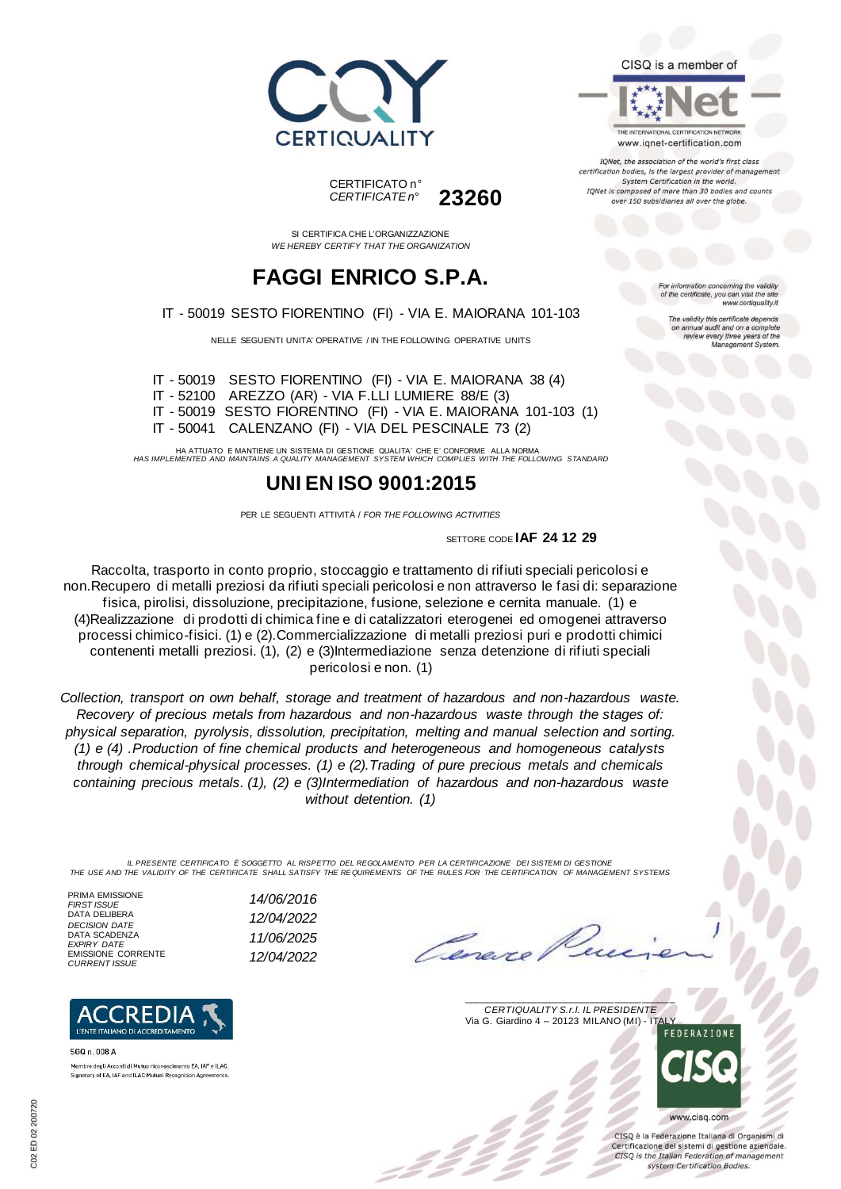





SI CERTIFICA CHE L'ORGANIZZAZIONE *WE HEREBY CERTIFY THAT THE ORGANIZATION*

# **FAGGI ENRICO S.P.A.**

IT - 50019 SESTO FIORENTINO (FI) - VIA E. MAIORANA 101-103

NELLE SEGUENTI UNITA' OPERATIVE / IN THE FOLLOWING OPERATIVE UNITS

IT - 50019 SESTO FIORENTINO (FI) - VIA E. MAIORANA 38 (4) IT - 52100 AREZZO (AR) - VIA F.LLI LUMIERE 88/E (3) IT - 50019 SESTO FIORENTINO (FI) - VIA E. MAIORANA 101-103 (1) IT - 50041 CALENZANO (FI) - VIA DEL PESCINALE 73 (2)

HA ATTUATO E MANTIENE UN SISTEMA DI GESTIONE QUALITA' CHE E' CONFORME ALLA NORMA *HAS IMPLEMENTED AND MAINTAINS A QUALITY MANAGEMENT SYSTEM WHICH COMPLIES WITH THE FOLLOWING STANDARD*

## **UNI EN ISO 9001:2015**

PER LE SEGUENTI ATTIVITÀ / *FOR THE FOLLOWING ACTIVITIES*

SETTORE CODE **IAF 24 12 29**

Raccolta, trasporto in conto proprio, stoccaggio e trattamento di rifiuti speciali pericolosi e non.Recupero di metalli preziosi da rifiuti speciali pericolosi e non attraverso le fasi di: separazione fisica, pirolisi, dissoluzione, precipitazione, fusione, selezione e cernita manuale. (1) e (4)Realizzazione di prodotti di chimica fine e di catalizzatori eterogenei ed omogenei attraverso processi chimico-fisici. (1) e (2).Commercializzazione di metalli preziosi puri e prodotti chimici contenenti metalli preziosi. (1), (2) e (3)Intermediazione senza detenzione di rifiuti speciali pericolosi e non. (1)

*Collection, transport on own behalf, storage and treatment of hazardous and non-hazardous waste. Recovery of precious metals from hazardous and non-hazardous waste through the stages of: physical separation, pyrolysis, dissolution, precipitation, melting and manual selection and sorting. (1) e (4) .Production of fine chemical products and heterogeneous and homogeneous catalysts through chemical-physical processes. (1) e (2).Trading of pure precious metals and chemicals containing precious metals. (1), (2) e (3)Intermediation of hazardous and non-hazardous waste without detention. (1)*

IL PRESENTE CERTIFICATO E SOGGETTO AL RISPETTO DEL REGOLAMENTO PER LA CERTIFICAZIONE DEI SISTEMI DI GESTIONE<br>THE USE AND THE VALIDITY OF THE CERTIFICATE SHALL SATISFY THE REQUIREMENTS OF THE RULES FOR THE CERTIFICATION OF

*FIRST ISSUE 14/06/2016*

*EXPIRY DATE 11/06/2025*

*CURRENT ISSUE 12/04/2022*

PRIMA EMISSIONE<br>FIRST ISSUE DATA DELIBERA *DECISION DATE 12/04/2022* DATA SCADENZA<br>EXPIRY DATE EMISSIONE CORRENTE<br>CURRENT ISSUE



SGQ n 008 A Membro degli Accordi di Mutuo riconoscimento EA, IAF e ILAC Signatory of EA, IAF and ILAC Mutual Recognition Agreements



 $\overline{\phantom{a}}$  , and the set of the set of the set of the set of the set of the set of the set of the set of the set of the set of the set of the set of the set of the set of the set of the set of the set of the set of the s *CERTIQUALITY S.r.l. IL PRESIDENTE* Via G. Giardino 4 – 20123 MILANO (MI) - ITALY



CISO è la Federazione Italiana di Organismi di Certificazione dei sistemi di gestione aziendale. CISQ is the Italian Federation of management system Certification Bodies.



TONet, the association of the world's first class certification bodies, is the largest provider of management System Certification in the world. IQNet is composed of more than 30 bodies and counts over 150 subsidiaries all over the globe.

> ion concerning the validity of the certificate, you can visit the sit www.certiquality.it

> > The validity this certificate depends on annual audit and on a complete<br>review every three years of the<br>Management System.